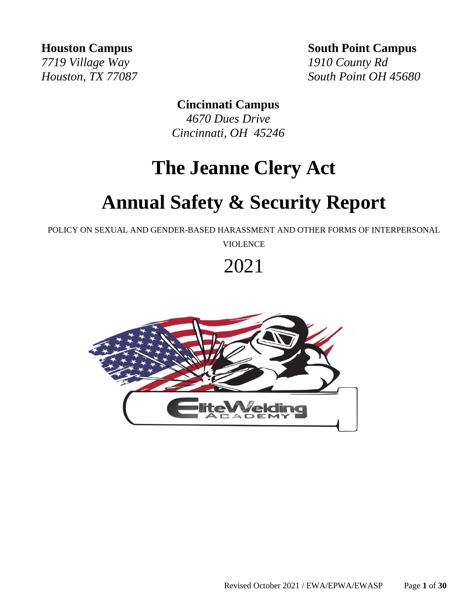*7719 Village Way 1910 County Rd*

**Houston Campus** South Point Campus

*Houston, TX 77087 South Point OH 45680*

# **Cincinnati Campus**

*4670 Dues Drive Cincinnati, OH 45246* 

# **The Jeanne Clery Act**

# **Annual Safety & Security Report**

POLICY ON SEXUAL AND GENDER-BASED HARASSMENT AND OTHER FORMS OF INTERPERSONAL

VIOLENCE

# 2021

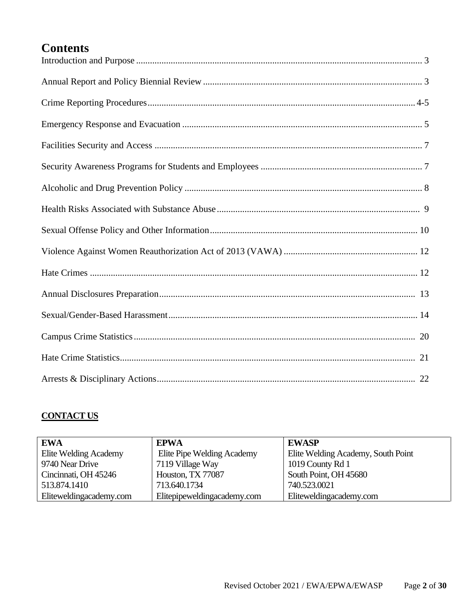# **Contents**

## **CONTACT US**

| <b>EWA</b>              | <b>EPWA</b>                 | <b>EWASP</b>                       |
|-------------------------|-----------------------------|------------------------------------|
| Elite Welding Academy   | Elite Pipe Welding Academy  | Elite Welding Academy, South Point |
| 9740 Near Drive         | 7119 Village Way            | 1019 County Rd 1                   |
| Cincinnati, OH 45246    | Houston, TX 77087           | South Point, OH 45680              |
| 513.874.1410            | 713.640.1734                | 740.523.0021                       |
| Eliteweldingacademy.com | Elitepipeweldingacademy.com | Eliteweldingacademy.com            |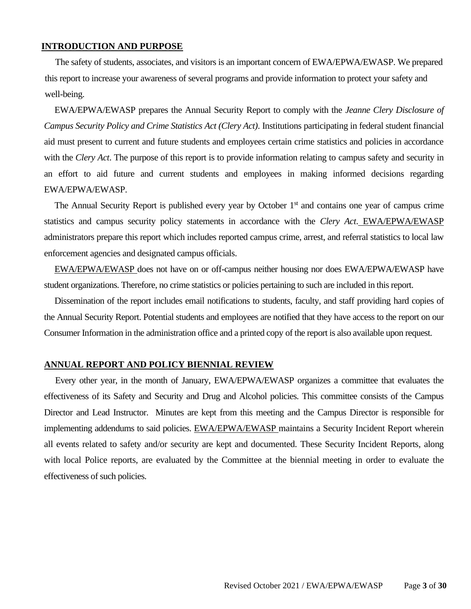#### **INTRODUCTION AND PURPOSE**

The safety of students, associates, and visitors is an important concern of EWA/EPWA/EWASP. We prepared this report to increase your awareness of several programs and provide information to protect your safety and well-being.

EWA/EPWA/EWASP prepares the Annual Security Report to comply with the *Jeanne Clery Disclosure of Campus Security Policy and Crime Statistics Act (Clery Act)*. Institutions participating in federal student financial aid must present to current and future students and employees certain crime statistics and policies in accordance with the *Clery Act*. The purpose of this report is to provide information relating to campus safety and security in an effort to aid future and current students and employees in making informed decisions regarding EWA/EPWA/EWASP.

The Annual Security Report is published every year by October 1<sup>st</sup> and contains one year of campus crime statistics and campus security policy statements in accordance with the *Clery Act*. EWA/EPWA/EWASP administrators prepare this report which includes reported campus crime, arrest, and referral statistics to local law enforcement agencies and designated campus officials.

EWA/EPWA/EWASP does not have on or off-campus neither housing nor does EWA/EPWA/EWASP have student organizations. Therefore, no crime statistics or policies pertaining to such are included in this report.

Dissemination of the report includes email notifications to students, faculty, and staff providing hard copies of the Annual Security Report. Potential students and employees are notified that they have access to the report on our Consumer Information in the administration office and a printed copy of the report is also available upon request.

#### **ANNUAL REPORT AND POLICY BIENNIAL REVIEW**

Every other year, in the month of January, EWA/EPWA/EWASP organizes a committee that evaluates the effectiveness of its Safety and Security and Drug and Alcohol policies. This committee consists of the Campus Director and Lead Instructor. Minutes are kept from this meeting and the Campus Director is responsible for implementing addendums to said policies. EWA/EPWA/EWASP maintains a Security Incident Report wherein all events related to safety and/or security are kept and documented. These Security Incident Reports, along with local Police reports, are evaluated by the Committee at the biennial meeting in order to evaluate the effectiveness of such policies.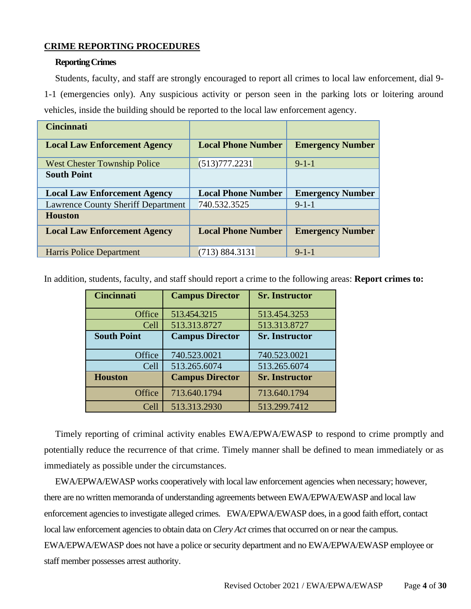## **CRIME REPORTING PROCEDURES**

#### **Reporting Crimes**

Students, faculty, and staff are strongly encouraged to report all crimes to local law enforcement, dial 9- 1-1 (emergencies only). Any suspicious activity or person seen in the parking lots or loitering around vehicles, inside the building should be reported to the local law enforcement agency.

| <b>Cincinnati</b>                         |                           |                         |
|-------------------------------------------|---------------------------|-------------------------|
| <b>Local Law Enforcement Agency</b>       | <b>Local Phone Number</b> | <b>Emergency Number</b> |
| <b>West Chester Township Police</b>       | (513)777.2231             | $9-1-1$                 |
| <b>South Point</b>                        |                           |                         |
| <b>Local Law Enforcement Agency</b>       | <b>Local Phone Number</b> | <b>Emergency Number</b> |
| <b>Lawrence County Sheriff Department</b> | 740.532.3525              | $9-1-1$                 |
| <b>Houston</b>                            |                           |                         |
| <b>Local Law Enforcement Agency</b>       | <b>Local Phone Number</b> | <b>Emergency Number</b> |
| Harris Police Department                  | (713) 884.3131            | $9 - 1 - 1$             |

In addition, students, faculty, and staff should report a crime to the following areas: **Report crimes to:**

| <b>Cincinnati</b>  | <b>Campus Director</b> | <b>Sr. Instructor</b> |
|--------------------|------------------------|-----------------------|
| Office             | 513.454.3215           | 513.454.3253          |
| Cell               | 513.313.8727           | 513.313.8727          |
| <b>South Point</b> | <b>Campus Director</b> | <b>Sr. Instructor</b> |
| Office             | 740.523.0021           | 740.523.0021          |
| Cell               | 513.265.6074           | 513.265.6074          |
| <b>Houston</b>     | <b>Campus Director</b> | <b>Sr. Instructor</b> |
| Office             | 713.640.1794           | 713.640.1794          |
| Cell               | 513.313.2930           | 513.299.7412          |

Timely reporting of criminal activity enables EWA/EPWA/EWASP to respond to crime promptly and potentially reduce the recurrence of that crime. Timely manner shall be defined to mean immediately or as immediately as possible under the circumstances.

EWA/EPWA/EWASP works cooperatively with local law enforcement agencies when necessary; however, there are no written memoranda of understanding agreements between EWA/EPWA/EWASP and local law enforcement agencies to investigate alleged crimes. EWA/EPWA/EWASP does, in a good faith effort, contact local law enforcement agencies to obtain data on *Clery Act* crimes that occurred on or near the campus. EWA/EPWA/EWASP does not have a police or security department and no EWA/EPWA/EWASP employee or staff member possesses arrest authority.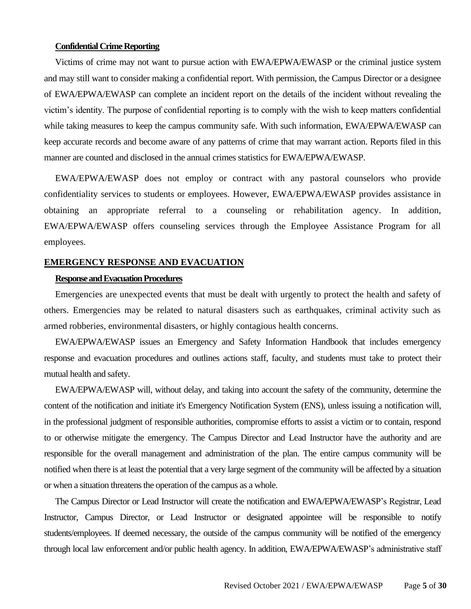#### **Confidential Crime Reporting**

Victims of crime may not want to pursue action with EWA/EPWA/EWASP or the criminal justice system and may still want to consider making a confidential report. With permission, the Campus Director or a designee of EWA/EPWA/EWASP can complete an incident report on the details of the incident without revealing the victim's identity. The purpose of confidential reporting is to comply with the wish to keep matters confidential while taking measures to keep the campus community safe. With such information, EWA/EPWA/EWASP can keep accurate records and become aware of any patterns of crime that may warrant action. Reports filed in this manner are counted and disclosed in the annual crimes statistics for EWA/EPWA/EWASP.

EWA/EPWA/EWASP does not employ or contract with any pastoral counselors who provide confidentiality services to students or employees. However, EWA/EPWA/EWASP provides assistance in obtaining an appropriate referral to a counseling or rehabilitation agency. In addition, EWA/EPWA/EWASP offers counseling services through the Employee Assistance Program for all employees.

#### **EMERGENCY RESPONSE AND EVACUATION**

#### **Responseand Evacuation Procedures**

Emergencies are unexpected events that must be dealt with urgently to protect the health and safety of others. Emergencies may be related to natural disasters such as earthquakes, criminal activity such as armed robberies, environmental disasters, or highly contagious health concerns.

EWA/EPWA/EWASP issues an Emergency and Safety Information Handbook that includes emergency response and evacuation procedures and outlines actions staff, faculty, and students must take to protect their mutual health and safety.

EWA/EPWA/EWASP will, without delay, and taking into account the safety of the community, determine the content of the notification and initiate it's Emergency Notification System (ENS), unless issuing a notification will, in the professional judgment of responsible authorities, compromise efforts to assist a victim or to contain, respond to or otherwise mitigate the emergency. The Campus Director and Lead Instructor have the authority and are responsible for the overall management and administration of the plan. The entire campus community will be notified when there is at least the potential that a very large segment of the community will be affected by a situation or when a situation threatens the operation of the campus as a whole.

The Campus Director or Lead Instructor will create the notification and EWA/EPWA/EWASP's Registrar, Lead Instructor, Campus Director, or Lead Instructor or designated appointee will be responsible to notify students/employees. If deemed necessary, the outside of the campus community will be notified of the emergency through local law enforcement and/or public health agency. In addition, EWA/EPWA/EWASP's administrative staff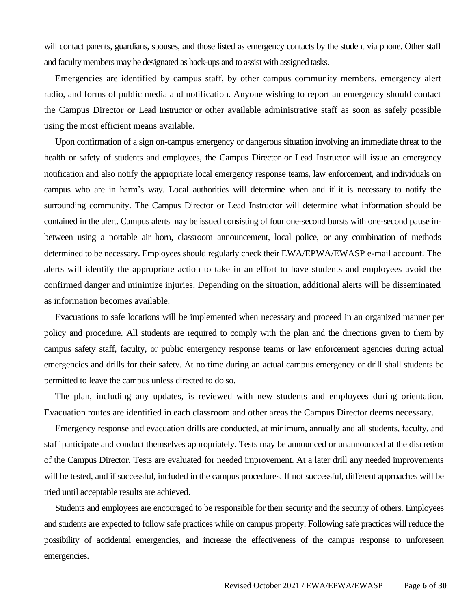will contact parents, guardians, spouses, and those listed as emergency contacts by the student via phone. Other staff and faculty members may be designated as back-ups and to assist with assigned tasks.

Emergencies are identified by campus staff, by other campus community members, emergency alert radio, and forms of public media and notification. Anyone wishing to report an emergency should contact the Campus Director or Lead Instructor or other available administrative staff as soon as safely possible using the most efficient means available.

Upon confirmation of a sign on-campus emergency or dangerous situation involving an immediate threat to the health or safety of students and employees, the Campus Director or Lead Instructor will issue an emergency notification and also notify the appropriate local emergency response teams, law enforcement, and individuals on campus who are in harm's way. Local authorities will determine when and if it is necessary to notify the surrounding community. The Campus Director or Lead Instructor will determine what information should be contained in the alert. Campus alerts may be issued consisting of four one-second bursts with one-second pause inbetween using a portable air horn, classroom announcement, local police, or any combination of methods determined to be necessary. Employees should regularly check their EWA/EPWA/EWASP e-mail account. The alerts will identify the appropriate action to take in an effort to have students and employees avoid the confirmed danger and minimize injuries. Depending on the situation, additional alerts will be disseminated as information becomes available.

Evacuations to safe locations will be implemented when necessary and proceed in an organized manner per policy and procedure. All students are required to comply with the plan and the directions given to them by campus safety staff, faculty, or public emergency response teams or law enforcement agencies during actual emergencies and drills for their safety. At no time during an actual campus emergency or drill shall students be permitted to leave the campus unless directed to do so.

The plan, including any updates, is reviewed with new students and employees during orientation. Evacuation routes are identified in each classroom and other areas the Campus Director deems necessary.

Emergency response and evacuation drills are conducted, at minimum, annually and all students, faculty, and staff participate and conduct themselves appropriately. Tests may be announced or unannounced at the discretion of the Campus Director. Tests are evaluated for needed improvement. At a later drill any needed improvements will be tested, and if successful, included in the campus procedures. If not successful, different approaches will be tried until acceptable results are achieved.

Students and employees are encouraged to be responsible for their security and the security of others. Employees and students are expected to follow safe practices while on campus property. Following safe practices will reduce the possibility of accidental emergencies, and increase the effectiveness of the campus response to unforeseen emergencies.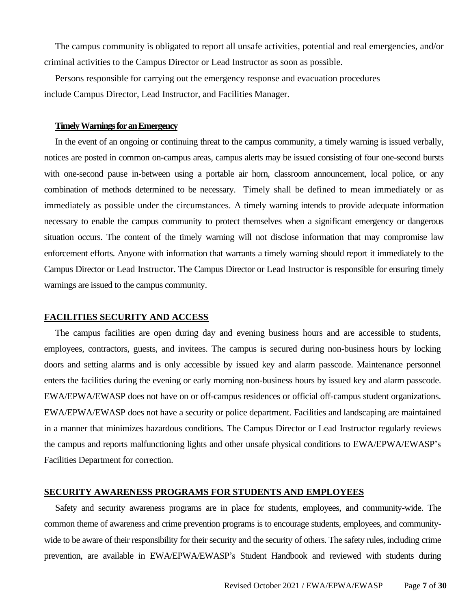The campus community is obligated to report all unsafe activities, potential and real emergencies, and/or criminal activities to the Campus Director or Lead Instructor as soon as possible.

Persons responsible for carrying out the emergency response and evacuation procedures include Campus Director, Lead Instructor, and Facilities Manager.

#### **Timely Warnings for an Emergency**

In the event of an ongoing or continuing threat to the campus community, a timely warning is issued verbally, notices are posted in common on-campus areas, campus alerts may be issued consisting of four one-second bursts with one-second pause in-between using a portable air horn, classroom announcement, local police, or any combination of methods determined to be necessary. Timely shall be defined to mean immediately or as immediately as possible under the circumstances. A timely warning intends to provide adequate information necessary to enable the campus community to protect themselves when a significant emergency or dangerous situation occurs. The content of the timely warning will not disclose information that may compromise law enforcement efforts. Anyone with information that warrants a timely warning should report it immediately to the Campus Director or Lead Instructor. The Campus Director or Lead Instructor is responsible for ensuring timely warnings are issued to the campus community.

#### **FACILITIES SECURITY AND ACCESS**

The campus facilities are open during day and evening business hours and are accessible to students, employees, contractors, guests, and invitees. The campus is secured during non-business hours by locking doors and setting alarms and is only accessible by issued key and alarm passcode. Maintenance personnel enters the facilities during the evening or early morning non-business hours by issued key and alarm passcode. EWA/EPWA/EWASP does not have on or off-campus residences or official off-campus student organizations. EWA/EPWA/EWASP does not have a security or police department. Facilities and landscaping are maintained in a manner that minimizes hazardous conditions. The Campus Director or Lead Instructor regularly reviews the campus and reports malfunctioning lights and other unsafe physical conditions to EWA/EPWA/EWASP's Facilities Department for correction.

#### **SECURITY AWARENESS PROGRAMS FOR STUDENTS AND EMPLOYEES**

Safety and security awareness programs are in place for students, employees, and community-wide. The common theme of awareness and crime prevention programs is to encourage students, employees, and communitywide to be aware of their responsibility for their security and the security of others. The safety rules, including crime prevention, are available in EWA/EPWA/EWASP's Student Handbook and reviewed with students during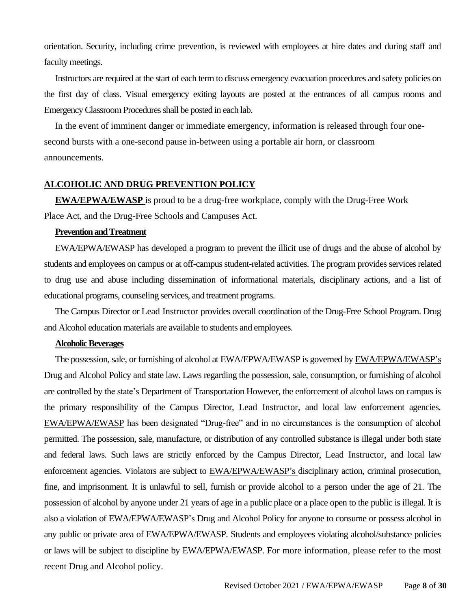orientation. Security, including crime prevention, is reviewed with employees at hire dates and during staff and faculty meetings.

Instructors are required at the start of each term to discuss emergency evacuation procedures and safety policies on the first day of class. Visual emergency exiting layouts are posted at the entrances of all campus rooms and Emergency Classroom Procedures shall be posted in each lab.

In the event of imminent danger or immediate emergency, information is released through four onesecond bursts with a one-second pause in-between using a portable air horn, or classroom announcements.

#### **ALCOHOLIC AND DRUG PREVENTION POLICY**

**EWA/EPWA/EWASP** is proud to be a drug-free workplace, comply with the Drug-Free Work Place Act, and the Drug-Free Schools and Campuses Act.

#### **Prevention and Treatment**

EWA/EPWA/EWASP has developed a program to prevent the illicit use of drugs and the abuse of alcohol by students and employees on campus or at off-campus student-related activities. The program provides services related to drug use and abuse including dissemination of informational materials, disciplinary actions, and a list of educational programs, counseling services, and treatment programs.

The Campus Director or Lead Instructor provides overall coordination of the Drug-Free School Program. Drug and Alcohol education materials are available to students and employees.

#### **Alcoholic Beverages**

The possession, sale, or furnishing of alcohol at EWA/EPWA/EWASP is governed by EWA/EPWA/EWASP's Drug and Alcohol Policy and state law. Laws regarding the possession, sale, consumption, or furnishing of alcohol are controlled by the state's Department of Transportation However, the enforcement of alcohol laws on campus is the primary responsibility of the Campus Director, Lead Instructor, and local law enforcement agencies. EWA/EPWA/EWASP has been designated "Drug-free" and in no circumstances is the consumption of alcohol permitted. The possession, sale, manufacture, or distribution of any controlled substance is illegal under both state and federal laws. Such laws are strictly enforced by the Campus Director, Lead Instructor, and local law enforcement agencies. Violators are subject to EWA/EPWA/EWASP's disciplinary action, criminal prosecution, fine, and imprisonment. It is unlawful to sell, furnish or provide alcohol to a person under the age of 21. The possession of alcohol by anyone under 21 years of age in a public place or a place open to the public is illegal. It is also a violation of EWA/EPWA/EWASP's Drug and Alcohol Policy for anyone to consume or possess alcohol in any public or private area of EWA/EPWA/EWASP. Students and employees violating alcohol/substance policies or laws will be subject to discipline by EWA/EPWA/EWASP. For more information, please refer to the most recent Drug and Alcohol policy.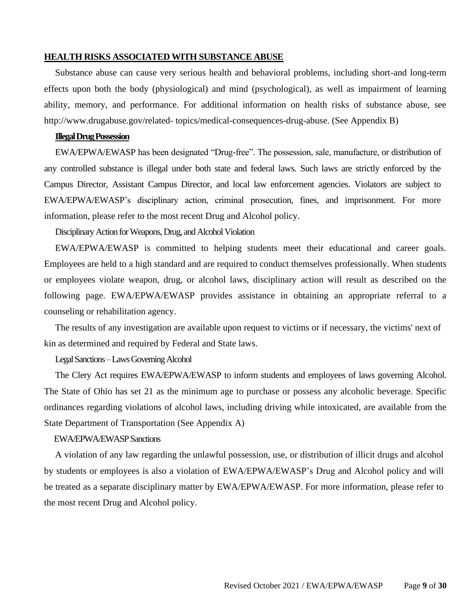#### **HEALTH RISKS ASSOCIATED WITH SUBSTANCE ABUSE**

Substance abuse can cause very serious health and behavioral problems, including short-and long-term effects upon both the body (physiological) and mind (psychological), as well as impairment of learning ability, memory, and performance. For additional information on health risks of substance abuse, see http://www.drugabuse.gov/related- topics/medical-consequences-drug-abuse. (See Appendix B)

#### **Illegal Drug Possession**

EWA/EPWA/EWASP has been designated "Drug-free". The possession, sale, manufacture, or distribution of any controlled substance is illegal under both state and federal laws. Such laws are strictly enforced by the Campus Director, Assistant Campus Director, and local law enforcement agencies. Violators are subject to EWA/EPWA/EWASP's disciplinary action, criminal prosecution, fines, and imprisonment. For more information, please refer to the most recent Drug and Alcohol policy.

Disciplinary Action for Weapons, Drug, and Alcohol Violation

EWA/EPWA/EWASP is committed to helping students meet their educational and career goals. Employees are held to a high standard and are required to conduct themselves professionally. When students or employees violate weapon, drug, or alcohol laws, disciplinary action will result as described on the following page. EWA/EPWA/EWASP provides assistance in obtaining an appropriate referral to a counseling or rehabilitation agency.

The results of any investigation are available upon request to victims or if necessary, the victims' next of kin as determined and required by Federal and State laws.

#### Legal Sanctions –Laws Governing Alcohol

The Clery Act requires EWA/EPWA/EWASP to inform students and employees of laws governing Alcohol. The State of Ohio has set 21 as the minimum age to purchase or possess any alcoholic beverage. Specific ordinances regarding violations of alcohol laws, including driving while intoxicated, are available from the State Department of Transportation (See Appendix A)

#### EWA/EPWA/EWASPSanctions

A violation of any law regarding the unlawful possession, use, or distribution of illicit drugs and alcohol by students or employees is also a violation of EWA/EPWA/EWASP's Drug and Alcohol policy and will be treated as a separate disciplinary matter by EWA/EPWA/EWASP. For more information, please refer to the most recent Drug and Alcohol policy.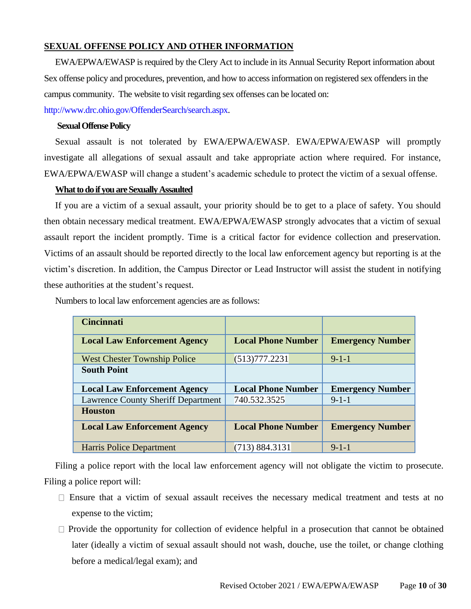## **SEXUAL OFFENSE POLICY AND OTHER INFORMATION**

EWA/EPWA/EWASP is required by the Clery Act to include in its Annual Security Report information about Sex offense policy and procedures, prevention, and how to access information on registered sex offenders in the campus community. The website to visit regarding sex offenses can be located on:

[http://www.drc.ohio.gov/OffenderSearch/search.aspx.](http://www.drc.ohio.gov/OffenderSearch/search.aspx)

## **Sexual Offense Policy**

Sexual assault is not tolerated by EWA/EPWA/EWASP. EWA/EPWA/EWASP will promptly investigate all allegations of sexual assault and take appropriate action where required. For instance, EWA/EPWA/EWASP will change a student's academic schedule to protect the victim of a sexual offense.

#### **What to do if you are Sexually Assaulted**

If you are a victim of a sexual assault, your priority should be to get to a place of safety. You should then obtain necessary medical treatment. EWA/EPWA/EWASP strongly advocates that a victim of sexual assault report the incident promptly. Time is a critical factor for evidence collection and preservation. Victims of an assault should be reported directly to the local law enforcement agency but reporting is at the victim's discretion. In addition, the Campus Director or Lead Instructor will assist the student in notifying these authorities at the student's request.

| <b>Cincinnati</b>                         |                           |                         |
|-------------------------------------------|---------------------------|-------------------------|
| <b>Local Law Enforcement Agency</b>       | <b>Local Phone Number</b> | <b>Emergency Number</b> |
| <b>West Chester Township Police</b>       | (513)777.2231             | $9-1-1$                 |
| <b>South Point</b>                        |                           |                         |
|                                           |                           |                         |
| <b>Local Law Enforcement Agency</b>       | <b>Local Phone Number</b> | <b>Emergency Number</b> |
| <b>Lawrence County Sheriff Department</b> | 740.532.3525              | $9 - 1 - 1$             |
| <b>Houston</b>                            |                           |                         |
| <b>Local Law Enforcement Agency</b>       | <b>Local Phone Number</b> | <b>Emergency Number</b> |

Numbers to local law enforcement agencies are as follows:

Filing a police report with the local law enforcement agency will not obligate the victim to prosecute. Filing a police report will:

- $\Box$  Ensure that a victim of sexual assault receives the necessary medical treatment and tests at no expense to the victim;
- $\Box$  Provide the opportunity for collection of evidence helpful in a prosecution that cannot be obtained later (ideally a victim of sexual assault should not wash, douche, use the toilet, or change clothing before a medical/legal exam); and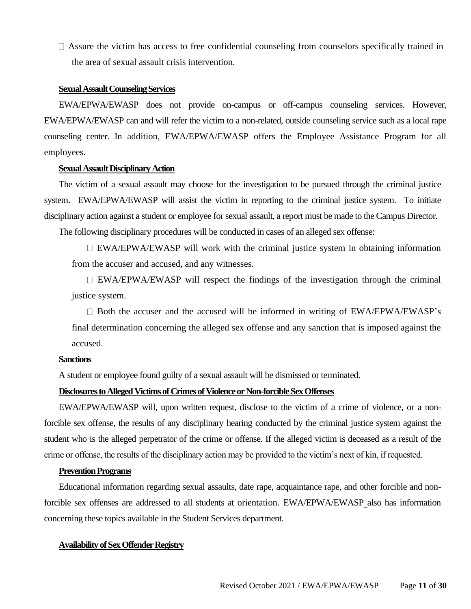$\Box$  Assure the victim has access to free confidential counseling from counselors specifically trained in the area of sexual assault crisis intervention.

#### **Sexual Assault Counseling Services**

EWA/EPWA/EWASP does not provide on-campus or off-campus counseling services. However, EWA/EPWA/EWASP can and will refer the victim to a non-related, outside counseling service such as a local rape counseling center. In addition, EWA/EPWA/EWASP offers the Employee Assistance Program for all employees.

#### **Sexual Assault Disciplinary Action**

The victim of a sexual assault may choose for the investigation to be pursued through the criminal justice system. EWA/EPWA/EWASP will assist the victim in reporting to the criminal justice system. To initiate disciplinary action against a student or employee for sexual assault, a report must be made to the Campus Director.

The following disciplinary procedures will be conducted in cases of an alleged sex offense:

 $\Box$  EWA/EPWA/EWASP will work with the criminal justice system in obtaining information from the accuser and accused, and any witnesses.

 $\Box$  EWA/EPWA/EWASP will respect the findings of the investigation through the criminal justice system.

 $\Box$  Both the accuser and the accused will be informed in writing of EWA/EPWA/EWASP's final determination concerning the alleged sex offense and any sanction that is imposed against the accused.

#### **Sanctions**

A student or employee found guilty of a sexual assault will be dismissed or terminated.

#### **Disclosures to Alleged Victims of Crimes of Violence or Non-forcible Sex Offenses**

EWA/EPWA/EWASP will, upon written request, disclose to the victim of a crime of violence, or a nonforcible sex offense, the results of any disciplinary hearing conducted by the criminal justice system against the student who is the alleged perpetrator of the crime or offense. If the alleged victim is deceased as a result of the crime or offense, the results of the disciplinary action may be provided to the victim's next of kin, if requested.

#### **Prevention Programs**

Educational information regarding sexual assaults, date rape, acquaintance rape, and other forcible and nonforcible sex offenses are addressed to all students at orientation. EWA/EPWA/EWASP also has information concerning these topics available in the Student Services department.

#### **Availability of Sex Offender Registry**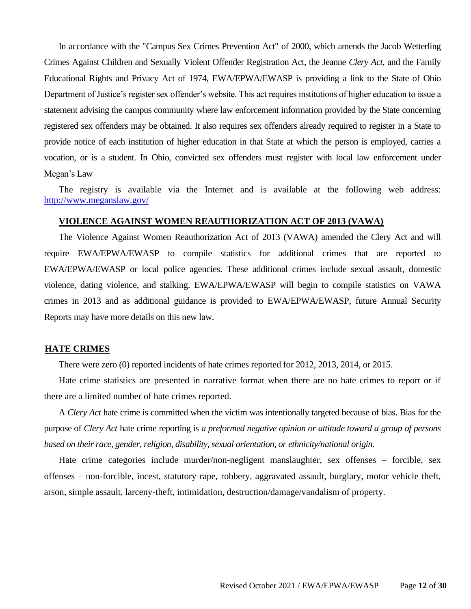In accordance with the "Campus Sex Crimes Prevention Act" of 2000, which amends the Jacob Wetterling Crimes Against Children and Sexually Violent Offender Registration Act, the Jeanne *Clery Act,* and the Family Educational Rights and Privacy Act of 1974, EWA/EPWA/EWASP is providing a link to the State of Ohio Department of Justice's register sex offender's website. This act requires institutions of higher education to issue a statement advising the campus community where law enforcement information provided by the State concerning registered sex offenders may be obtained. It also requires sex offenders already required to register in a State to provide notice of each institution of higher education in that State at which the person is employed, carries a vocation, or is a student. In Ohio, convicted sex offenders must register with local law enforcement under Megan's Law

The registry is available via the Internet and is available at the following web address: http://www.meganslaw.gov/

#### **VIOLENCE AGAINST WOMEN REAUTHORIZATION ACT OF 2013 (VAWA)**

The Violence Against Women Reauthorization Act of 2013 (VAWA) amended the Clery Act and will require EWA/EPWA/EWASP to compile statistics for additional crimes that are reported to EWA/EPWA/EWASP or local police agencies. These additional crimes include sexual assault, domestic violence, dating violence, and stalking. EWA/EPWA/EWASP will begin to compile statistics on VAWA crimes in 2013 and as additional guidance is provided to EWA/EPWA/EWASP, future Annual Security Reports may have more details on this new law.

#### **HATE CRIMES**

There were zero (0) reported incidents of hate crimes reported for 2012, 2013, 2014, or 2015.

Hate crime statistics are presented in narrative format when there are no hate crimes to report or if there are a limited number of hate crimes reported.

A *Clery Act* hate crime is committed when the victim was intentionally targeted because of bias. Bias for the purpose of *Clery Act* hate crime reporting is *a preformed negative opinion or attitude toward a group of persons based on their race, gender, religion, disability, sexual orientation, or ethnicity/national origin.*

Hate crime categories include murder/non-negligent manslaughter, sex offenses – forcible, sex offenses – non-forcible, incest, statutory rape, robbery, aggravated assault, burglary, motor vehicle theft, arson, simple assault, larceny-theft, intimidation, destruction/damage/vandalism of property.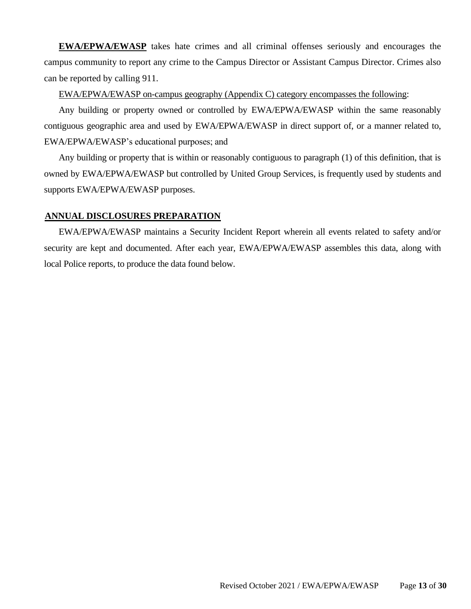**EWA/EPWA/EWASP** takes hate crimes and all criminal offenses seriously and encourages the campus community to report any crime to the Campus Director or Assistant Campus Director. Crimes also can be reported by calling 911.

### EWA/EPWA/EWASP on-campus geography (Appendix C) category encompasses the following:

Any building or property owned or controlled by EWA/EPWA/EWASP within the same reasonably contiguous geographic area and used by EWA/EPWA/EWASP in direct support of, or a manner related to, EWA/EPWA/EWASP's educational purposes; and

Any building or property that is within or reasonably contiguous to paragraph (1) of this definition, that is owned by EWA/EPWA/EWASP but controlled by United Group Services, is frequently used by students and supports EWA/EPWA/EWASP purposes.

## **ANNUAL DISCLOSURES PREPARATION**

EWA/EPWA/EWASP maintains a Security Incident Report wherein all events related to safety and/or security are kept and documented. After each year, EWA/EPWA/EWASP assembles this data, along with local Police reports, to produce the data found below.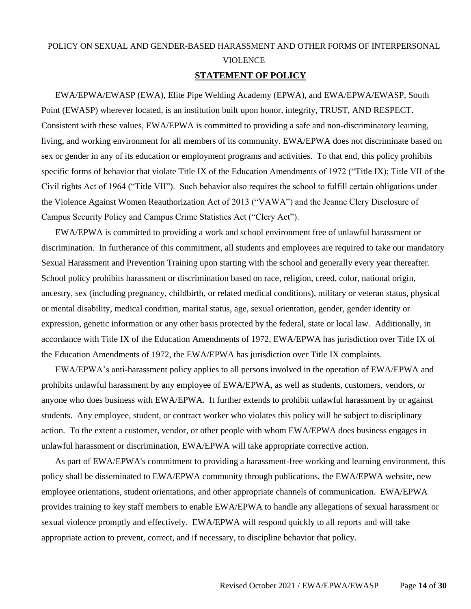## POLICY ON SEXUAL AND GENDER-BASED HARASSMENT AND OTHER FORMS OF INTERPERSONAL VIOLENCE

#### **STATEMENT OF POLICY**

EWA/EPWA/EWASP (EWA), Elite Pipe Welding Academy (EPWA), and EWA/EPWA/EWASP, South Point (EWASP) wherever located, is an institution built upon honor, integrity, TRUST, AND RESPECT. Consistent with these values, EWA/EPWA is committed to providing a safe and non-discriminatory learning, living, and working environment for all members of its community. EWA/EPWA does not discriminate based on sex or gender in any of its education or employment programs and activities. To that end, this policy prohibits specific forms of behavior that violate Title IX of the Education Amendments of 1972 ("Title IX); Title VII of the Civil rights Act of 1964 ("Title VII"). Such behavior also requires the school to fulfill certain obligations under the Violence Against Women Reauthorization Act of 2013 ("VAWA") and the Jeanne Clery Disclosure of Campus Security Policy and Campus Crime Statistics Act ("Clery Act").

EWA/EPWA is committed to providing a work and school environment free of unlawful harassment or discrimination. In furtherance of this commitment, all students and employees are required to take our mandatory Sexual Harassment and Prevention Training upon starting with the school and generally every year thereafter. School policy prohibits harassment or discrimination based on race, religion, creed, color, national origin, ancestry, sex (including pregnancy, childbirth, or related medical conditions), military or veteran status, physical or mental disability, medical condition, marital status, age, sexual orientation, gender, gender identity or expression, genetic information or any other basis protected by the federal, state or local law. Additionally, in accordance with Title IX of the Education Amendments of 1972, EWA/EPWA has jurisdiction over Title IX of the Education Amendments of 1972, the EWA/EPWA has jurisdiction over Title IX complaints.

EWA/EPWA's anti-harassment policy applies to all persons involved in the operation of EWA/EPWA and prohibits unlawful harassment by any employee of EWA/EPWA, as well as students, customers, vendors, or anyone who does business with EWA/EPWA. It further extends to prohibit unlawful harassment by or against students. Any employee, student, or contract worker who violates this policy will be subject to disciplinary action. To the extent a customer, vendor, or other people with whom EWA/EPWA does business engages in unlawful harassment or discrimination, EWA/EPWA will take appropriate corrective action.

As part of EWA/EPWA's commitment to providing a harassment-free working and learning environment, this policy shall be disseminated to EWA/EPWA community through publications, the EWA/EPWA website, new employee orientations, student orientations, and other appropriate channels of communication. EWA/EPWA provides training to key staff members to enable EWA/EPWA to handle any allegations of sexual harassment or sexual violence promptly and effectively. EWA/EPWA will respond quickly to all reports and will take appropriate action to prevent, correct, and if necessary, to discipline behavior that policy.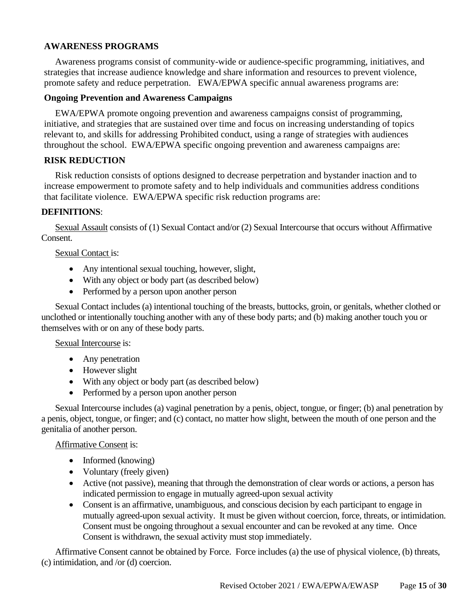## **AWARENESS PROGRAMS**

Awareness programs consist of community-wide or audience-specific programming, initiatives, and strategies that increase audience knowledge and share information and resources to prevent violence, promote safety and reduce perpetration. EWA/EPWA specific annual awareness programs are:

#### **Ongoing Prevention and Awareness Campaigns**

EWA/EPWA promote ongoing prevention and awareness campaigns consist of programming, initiative, and strategies that are sustained over time and focus on increasing understanding of topics relevant to, and skills for addressing Prohibited conduct, using a range of strategies with audiences throughout the school. EWA/EPWA specific ongoing prevention and awareness campaigns are:

#### **RISK REDUCTION**

Risk reduction consists of options designed to decrease perpetration and bystander inaction and to increase empowerment to promote safety and to help individuals and communities address conditions that facilitate violence. EWA/EPWA specific risk reduction programs are:

#### **DEFINITIONS**:

Sexual Assault consists of (1) Sexual Contact and/or (2) Sexual Intercourse that occurs without Affirmative Consent.

#### Sexual Contact is:

- Any intentional sexual touching, however, slight,
- With any object or body part (as described below)
- Performed by a person upon another person

Sexual Contact includes (a) intentional touching of the breasts, buttocks, groin, or genitals, whether clothed or unclothed or intentionally touching another with any of these body parts; and (b) making another touch you or themselves with or on any of these body parts.

#### Sexual Intercourse is:

- Any penetration
- However slight
- With any object or body part (as described below)
- Performed by a person upon another person

Sexual Intercourse includes (a) vaginal penetration by a penis, object, tongue, or finger; (b) anal penetration by a penis, object, tongue, or finger; and (c) contact, no matter how slight, between the mouth of one person and the genitalia of another person.

#### Affirmative Consent is:

- Informed (knowing)
- Voluntary (freely given)
- Active (not passive), meaning that through the demonstration of clear words or actions, a person has indicated permission to engage in mutually agreed-upon sexual activity
- Consent is an affirmative, unambiguous, and conscious decision by each participant to engage in mutually agreed-upon sexual activity. It must be given without coercion, force, threats, or intimidation. Consent must be ongoing throughout a sexual encounter and can be revoked at any time. Once Consent is withdrawn, the sexual activity must stop immediately.

Affirmative Consent cannot be obtained by Force. Force includes (a) the use of physical violence, (b) threats, (c) intimidation, and /or (d) coercion.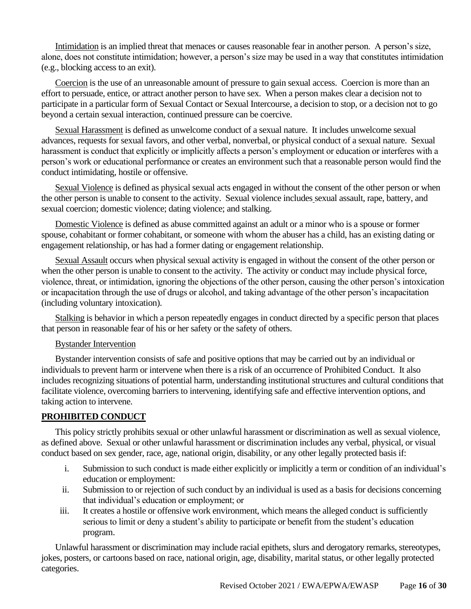Intimidation is an implied threat that menaces or causes reasonable fear in another person. A person's size, alone, does not constitute intimidation; however, a person's size may be used in a way that constitutes intimidation (e.g., blocking access to an exit).

Coercion is the use of an unreasonable amount of pressure to gain sexual access. Coercion is more than an effort to persuade, entice, or attract another person to have sex. When a person makes clear a decision not to participate in a particular form of Sexual Contact or Sexual Intercourse, a decision to stop, or a decision not to go beyond a certain sexual interaction, continued pressure can be coercive.

Sexual Harassment is defined as unwelcome conduct of a sexual nature. It includes unwelcome sexual advances, requests for sexual favors, and other verbal, nonverbal, or physical conduct of a sexual nature. Sexual harassment is conduct that explicitly or implicitly affects a person's employment or education or interferes with a person's work or educational performance or creates an environment such that a reasonable person would find the conduct intimidating, hostile or offensive.

Sexual Violence is defined as physical sexual acts engaged in without the consent of the other person or when the other person is unable to consent to the activity. Sexual violence includes sexual assault, rape, battery, and sexual coercion; domestic violence; dating violence; and stalking.

Domestic Violence is defined as abuse committed against an adult or a minor who is a spouse or former spouse, cohabitant or former cohabitant, or someone with whom the abuser has a child, has an existing dating or engagement relationship, or has had a former dating or engagement relationship.

Sexual Assault occurs when physical sexual activity is engaged in without the consent of the other person or when the other person is unable to consent to the activity. The activity or conduct may include physical force, violence, threat, or intimidation, ignoring the objections of the other person, causing the other person's intoxication or incapacitation through the use of drugs or alcohol, and taking advantage of the other person's incapacitation (including voluntary intoxication).

Stalking is behavior in which a person repeatedly engages in conduct directed by a specific person that places that person in reasonable fear of his or her safety or the safety of others.

## Bystander Intervention

Bystander intervention consists of safe and positive options that may be carried out by an individual or individuals to prevent harm or intervene when there is a risk of an occurrence of Prohibited Conduct. It also includes recognizing situations of potential harm, understanding institutional structures and cultural conditions that facilitate violence, overcoming barriers to intervening, identifying safe and effective intervention options, and taking action to intervene.

## **PROHIBITED CONDUCT**

This policy strictly prohibits sexual or other unlawful harassment or discrimination as well as sexual violence, as defined above. Sexual or other unlawful harassment or discrimination includes any verbal, physical, or visual conduct based on sex gender, race, age, national origin, disability, or any other legally protected basis if:

- i. Submission to such conduct is made either explicitly or implicitly a term or condition of an individual's education or employment:
- ii. Submission to or rejection of such conduct by an individual is used as a basis for decisions concerning that individual's education or employment; or
- iii. It creates a hostile or offensive work environment, which means the alleged conduct is sufficiently serious to limit or deny a student's ability to participate or benefit from the student's education program.

Unlawful harassment or discrimination may include racial epithets, slurs and derogatory remarks, stereotypes, jokes, posters, or cartoons based on race, national origin, age, disability, marital status, or other legally protected categories.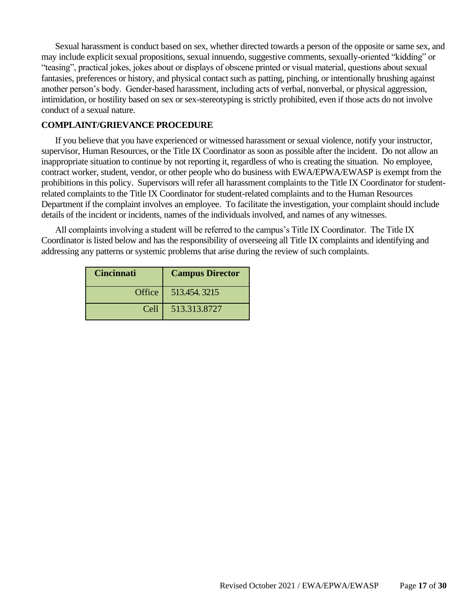Sexual harassment is conduct based on sex, whether directed towards a person of the opposite or same sex, and may include explicit sexual propositions, sexual innuendo, suggestive comments, sexually-oriented "kidding" or "teasing", practical jokes, jokes about or displays of obscene printed or visual material, questions about sexual fantasies, preferences or history, and physical contact such as patting, pinching, or intentionally brushing against another person's body. Gender-based harassment, including acts of verbal, nonverbal, or physical aggression, intimidation, or hostility based on sex or sex-stereotyping is strictly prohibited, even if those acts do not involve conduct of a sexual nature.

#### **COMPLAINT/GRIEVANCE PROCEDURE**

If you believe that you have experienced or witnessed harassment or sexual violence, notify your instructor, supervisor, Human Resources, or the Title IX Coordinator as soon as possible after the incident. Do not allow an inappropriate situation to continue by not reporting it, regardless of who is creating the situation. No employee, contract worker, student, vendor, or other people who do business with EWA/EPWA/EWASP is exempt from the prohibitions in this policy. Supervisors will refer all harassment complaints to the Title IX Coordinator for studentrelated complaints to the Title IX Coordinator for student-related complaints and to the Human Resources Department if the complaint involves an employee. To facilitate the investigation, your complaint should include details of the incident or incidents, names of the individuals involved, and names of any witnesses.

All complaints involving a student will be referred to the campus's Title IX Coordinator. The Title IX Coordinator is listed below and has the responsibility of overseeing all Title IX complaints and identifying and addressing any patterns or systemic problems that arise during the review of such complaints.

| <b>Cincinnati</b> | <b>Campus Director</b> |
|-------------------|------------------------|
|                   | Office   513.454.3215  |
| Cell              | 513.313.8727           |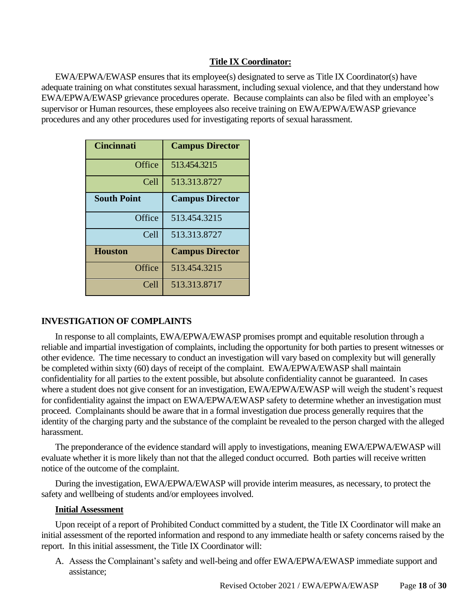## **Title IX Coordinator:**

EWA/EPWA/EWASP ensures that its employee(s) designated to serve as Title IX Coordinator(s) have adequate training on what constitutes sexual harassment, including sexual violence, and that they understand how EWA/EPWA/EWASP grievance procedures operate. Because complaints can also be filed with an employee's supervisor or Human resources, these employees also receive training on EWA/EPWA/EWASP grievance procedures and any other procedures used for investigating reports of sexual harassment.

| <b>Cincinnati</b>  | <b>Campus Director</b> |
|--------------------|------------------------|
| Office             | 513.454.3215           |
| Cell               | 513.313.8727           |
| <b>South Point</b> | <b>Campus Director</b> |
| Office             | 513.454.3215           |
| Cell               | 513.313.8727           |
| <b>Houston</b>     | <b>Campus Director</b> |
| Office             | 513.454.3215           |
| Cell               | 513.313.8717           |

## **INVESTIGATION OF COMPLAINTS**

In response to all complaints, EWA/EPWA/EWASP promises prompt and equitable resolution through a reliable and impartial investigation of complaints, including the opportunity for both parties to present witnesses or other evidence. The time necessary to conduct an investigation will vary based on complexity but will generally be completed within sixty (60) days of receipt of the complaint. EWA/EPWA/EWASP shall maintain confidentiality for all parties to the extent possible, but absolute confidentiality cannot be guaranteed. In cases where a student does not give consent for an investigation, EWA/EPWA/EWASP will weigh the student's request for confidentiality against the impact on EWA/EPWA/EWASP safety to determine whether an investigation must proceed. Complainants should be aware that in a formal investigation due process generally requires that the identity of the charging party and the substance of the complaint be revealed to the person charged with the alleged harassment.

The preponderance of the evidence standard will apply to investigations, meaning EWA/EPWA/EWASP will evaluate whether it is more likely than not that the alleged conduct occurred. Both parties will receive written notice of the outcome of the complaint.

During the investigation, EWA/EPWA/EWASP will provide interim measures, as necessary, to protect the safety and wellbeing of students and/or employees involved.

#### **Initial Assessment**

Upon receipt of a report of Prohibited Conduct committed by a student, the Title IX Coordinator will make an initial assessment of the reported information and respond to any immediate health or safety concerns raised by the report. In this initial assessment, the Title IX Coordinator will:

A. Assess the Complainant's safety and well-being and offer EWA/EPWA/EWASP immediate support and assistance;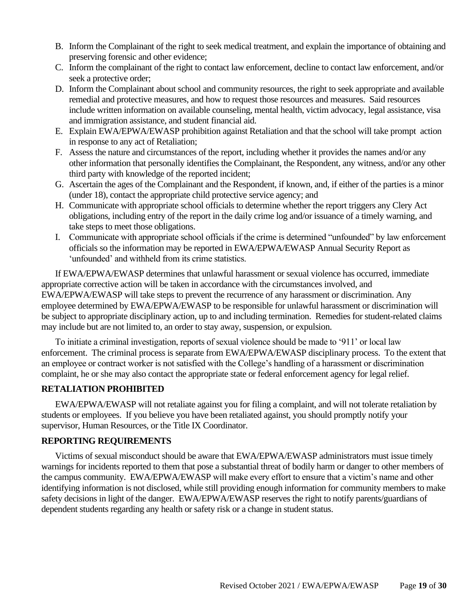- B. Inform the Complainant of the right to seek medical treatment, and explain the importance of obtaining and preserving forensic and other evidence;
- C. Inform the complainant of the right to contact law enforcement, decline to contact law enforcement, and/or seek a protective order;
- D. Inform the Complainant about school and community resources, the right to seek appropriate and available remedial and protective measures, and how to request those resources and measures. Said resources include written information on available counseling, mental health, victim advocacy, legal assistance, visa and immigration assistance, and student financial aid.
- E. Explain EWA/EPWA/EWASP prohibition against Retaliation and that the school will take prompt action in response to any act of Retaliation;
- F. Assess the nature and circumstances of the report, including whether it provides the names and/or any other information that personally identifies the Complainant, the Respondent, any witness, and/or any other third party with knowledge of the reported incident;
- G. Ascertain the ages of the Complainant and the Respondent, if known, and, if either of the parties is a minor (under 18), contact the appropriate child protective service agency; and
- H. Communicate with appropriate school officials to determine whether the report triggers any Clery Act obligations, including entry of the report in the daily crime log and/or issuance of a timely warning, and take steps to meet those obligations.
- I. Communicate with appropriate school officials if the crime is determined "unfounded" by law enforcement officials so the information may be reported in EWA/EPWA/EWASP Annual Security Report as 'unfounded' and withheld from its crime statistics.

If EWA/EPWA/EWASP determines that unlawful harassment or sexual violence has occurred, immediate appropriate corrective action will be taken in accordance with the circumstances involved, and EWA/EPWA/EWASP will take steps to prevent the recurrence of any harassment or discrimination. Any employee determined by EWA/EPWA/EWASP to be responsible for unlawful harassment or discrimination will be subject to appropriate disciplinary action, up to and including termination. Remedies for student-related claims may include but are not limited to, an order to stay away, suspension, or expulsion.

To initiate a criminal investigation, reports of sexual violence should be made to '911' or local law enforcement. The criminal process is separate from EWA/EPWA/EWASP disciplinary process. To the extent that an employee or contract worker is not satisfied with the College's handling of a harassment or discrimination complaint, he or she may also contact the appropriate state or federal enforcement agency for legal relief.

## **RETALIATION PROHIBITED**

EWA/EPWA/EWASP will not retaliate against you for filing a complaint, and will not tolerate retaliation by students or employees. If you believe you have been retaliated against, you should promptly notify your supervisor, Human Resources, or the Title IX Coordinator.

## **REPORTING REQUIREMENTS**

Victims of sexual misconduct should be aware that EWA/EPWA/EWASP administrators must issue timely warnings for incidents reported to them that pose a substantial threat of bodily harm or danger to other members of the campus community. EWA/EPWA/EWASP will make every effort to ensure that a victim's name and other identifying information is not disclosed, while still providing enough information for community members to make safety decisions in light of the danger. EWA/EPWA/EWASP reserves the right to notify parents/guardians of dependent students regarding any health or safety risk or a change in student status.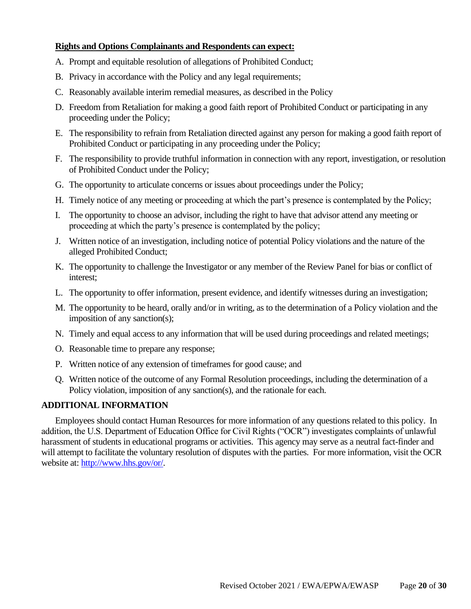## **Rights and Options Complainants and Respondents can expect:**

- A. Prompt and equitable resolution of allegations of Prohibited Conduct;
- B. Privacy in accordance with the Policy and any legal requirements;
- C. Reasonably available interim remedial measures, as described in the Policy
- D. Freedom from Retaliation for making a good faith report of Prohibited Conduct or participating in any proceeding under the Policy;
- E. The responsibility to refrain from Retaliation directed against any person for making a good faith report of Prohibited Conduct or participating in any proceeding under the Policy;
- F. The responsibility to provide truthful information in connection with any report, investigation, or resolution of Prohibited Conduct under the Policy;
- G. The opportunity to articulate concerns or issues about proceedings under the Policy;
- H. Timely notice of any meeting or proceeding at which the part's presence is contemplated by the Policy;
- I. The opportunity to choose an advisor, including the right to have that advisor attend any meeting or proceeding at which the party's presence is contemplated by the policy;
- J. Written notice of an investigation, including notice of potential Policy violations and the nature of the alleged Prohibited Conduct;
- K. The opportunity to challenge the Investigator or any member of the Review Panel for bias or conflict of interest;
- L. The opportunity to offer information, present evidence, and identify witnesses during an investigation;
- M. The opportunity to be heard, orally and/or in writing, as to the determination of a Policy violation and the imposition of any sanction(s);
- N. Timely and equal access to any information that will be used during proceedings and related meetings;
- O. Reasonable time to prepare any response;
- P. Written notice of any extension of timeframes for good cause; and
- Q. Written notice of the outcome of any Formal Resolution proceedings, including the determination of a Policy violation, imposition of any sanction(s), and the rationale for each.

## **ADDITIONAL INFORMATION**

Employees should contact Human Resources for more information of any questions related to this policy. In addition, the U.S. Department of Education Office for Civil Rights ("OCR") investigates complaints of unlawful harassment of students in educational programs or activities. This agency may serve as a neutral fact-finder and will attempt to facilitate the voluntary resolution of disputes with the parties. For more information, visit the OCR website at: [http://www.hhs.gov/or/.](http://www.hhs.gov/or/)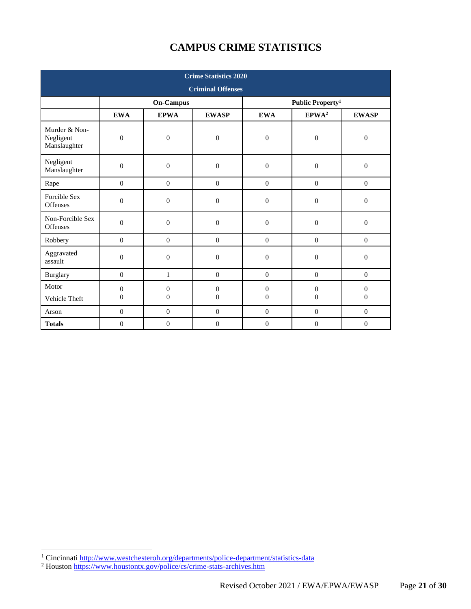# **CAMPUS CRIME STATISTICS**

| <b>Crime Statistics 2020</b>               |                  |                  |                  |                  |                              |                  |  |
|--------------------------------------------|------------------|------------------|------------------|------------------|------------------------------|------------------|--|
| <b>Criminal Offenses</b>                   |                  |                  |                  |                  |                              |                  |  |
|                                            |                  | <b>On-Campus</b> |                  |                  | Public Property <sup>1</sup> |                  |  |
|                                            | <b>EWA</b>       | <b>EPWA</b>      | <b>EWASP</b>     | <b>EWA</b>       | $\mathbf{EPWA}^2$            | <b>EWASP</b>     |  |
| Murder & Non-<br>Negligent<br>Manslaughter | $\overline{0}$   | $\overline{0}$   | $\boldsymbol{0}$ | $\boldsymbol{0}$ | $\mathbf{0}$                 | $\boldsymbol{0}$ |  |
| Negligent<br>Manslaughter                  | $\mathbf{0}$     | $\boldsymbol{0}$ | $\overline{0}$   | $\boldsymbol{0}$ | $\mathbf{0}$                 | $\boldsymbol{0}$ |  |
| Rape                                       | $\boldsymbol{0}$ | $\boldsymbol{0}$ | $\boldsymbol{0}$ | $\boldsymbol{0}$ | $\boldsymbol{0}$             | $\boldsymbol{0}$ |  |
| Forcible Sex<br>Offenses                   | $\mathbf{0}$     | $\overline{0}$   | $\overline{0}$   | $\boldsymbol{0}$ | $\mathbf{0}$                 | $\overline{0}$   |  |
| Non-Forcible Sex<br>Offenses               | $\overline{0}$   | $\overline{0}$   | $\overline{0}$   | $\boldsymbol{0}$ | $\mathbf{0}$                 | $\boldsymbol{0}$ |  |
| Robbery                                    | $\overline{0}$   | $\mathbf{0}$     | $\mathbf{0}$     | $\overline{0}$   | $\mathbf{0}$                 | $\boldsymbol{0}$ |  |
| Aggravated<br>assault                      | $\boldsymbol{0}$ | $\boldsymbol{0}$ | $\boldsymbol{0}$ | $\boldsymbol{0}$ | $\boldsymbol{0}$             | $\boldsymbol{0}$ |  |
| <b>Burglary</b>                            | $\mathbf{0}$     | $\mathbf{1}$     | $\boldsymbol{0}$ | $\boldsymbol{0}$ | $\mathbf{0}$                 | $\overline{0}$   |  |
| Motor                                      | $\theta$         | $\overline{0}$   | $\boldsymbol{0}$ | $\boldsymbol{0}$ | $\mathbf{0}$                 | $\boldsymbol{0}$ |  |
| Vehicle Theft                              | $\mathbf{0}$     | $\overline{0}$   | $\overline{0}$   | $\boldsymbol{0}$ | $\mathbf{0}$                 | $\mathbf{0}$     |  |
| Arson                                      | $\mathbf{0}$     | $\mathbf{0}$     | $\mathbf{0}$     | $\boldsymbol{0}$ | $\mathbf{0}$                 | $\mathbf{0}$     |  |
| <b>Totals</b>                              | $\mathbf{0}$     | $\overline{0}$   | $\overline{0}$   | $\overline{0}$   | $\mathbf{0}$                 | $\mathbf{0}$     |  |

<sup>&</sup>lt;sup>1</sup> Cincinnati http://www.westchesteroh.org/departments/police-department/statistics-data

<sup>&</sup>lt;sup>2</sup> Houston<https://www.houstontx.gov/police/cs/crime-stats-archives.htm>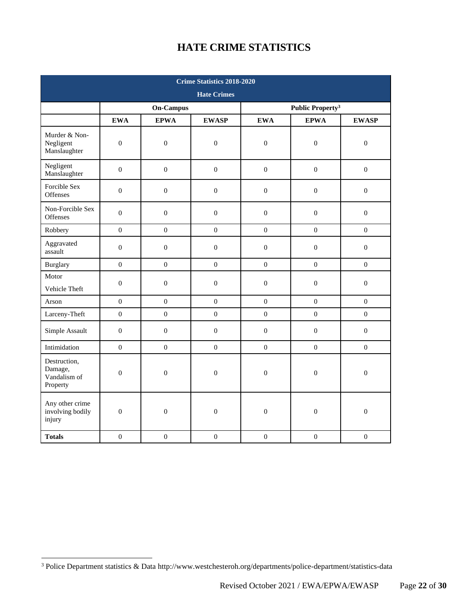## **HATE CRIME STATISTICS**

| <b>Crime Statistics 2018-2020</b>                   |                  |                  |                  |                                    |                  |                  |
|-----------------------------------------------------|------------------|------------------|------------------|------------------------------------|------------------|------------------|
| <b>Hate Crimes</b>                                  |                  |                  |                  |                                    |                  |                  |
|                                                     | <b>On-Campus</b> |                  |                  | <b>Public Property<sup>3</sup></b> |                  |                  |
|                                                     | <b>EWA</b>       | <b>EPWA</b>      | <b>EWASP</b>     | <b>EWA</b>                         | <b>EPWA</b>      | <b>EWASP</b>     |
| Murder & Non-<br>Negligent<br>Manslaughter          | $\boldsymbol{0}$ | $\boldsymbol{0}$ | $\boldsymbol{0}$ | $\boldsymbol{0}$                   | $\boldsymbol{0}$ | $\boldsymbol{0}$ |
| Negligent<br>Manslaughter                           | $\mathbf{0}$     | $\boldsymbol{0}$ | $\mathbf{0}$     | $\overline{0}$                     | $\boldsymbol{0}$ | $\boldsymbol{0}$ |
| Forcible Sex<br><b>Offenses</b>                     | $\boldsymbol{0}$ | $\boldsymbol{0}$ | $\boldsymbol{0}$ | $\boldsymbol{0}$                   | $\boldsymbol{0}$ | $\boldsymbol{0}$ |
| Non-Forcible Sex<br>Offenses                        | $\boldsymbol{0}$ | $\boldsymbol{0}$ | $\boldsymbol{0}$ | $\boldsymbol{0}$                   | $\boldsymbol{0}$ | $\boldsymbol{0}$ |
| Robbery                                             | $\mathbf{0}$     | $\boldsymbol{0}$ | $\mathbf{0}$     | $\mathbf{0}$                       | $\mathbf{0}$     | $\boldsymbol{0}$ |
| Aggravated<br>assault                               | $\boldsymbol{0}$ | $\boldsymbol{0}$ | $\boldsymbol{0}$ | $\boldsymbol{0}$                   | $\boldsymbol{0}$ | $\boldsymbol{0}$ |
| <b>Burglary</b>                                     | $\mathbf{0}$     | $\mathbf{0}$     | $\mathbf{0}$     | $\mathbf{0}$                       | $\mathbf{0}$     | $\mathbf{0}$     |
| Motor<br>Vehicle Theft                              | $\mathbf{0}$     | $\boldsymbol{0}$ | $\mathbf{0}$     | $\boldsymbol{0}$                   | $\boldsymbol{0}$ | $\boldsymbol{0}$ |
| Arson                                               | $\boldsymbol{0}$ | $\boldsymbol{0}$ | $\mathbf{0}$     | $\boldsymbol{0}$                   | $\mathbf{0}$     | $\boldsymbol{0}$ |
| Larceny-Theft                                       | $\mathbf{0}$     | $\mathbf{0}$     | $\mathbf{0}$     | $\mathbf{0}$                       | $\mathbf{0}$     | $\boldsymbol{0}$ |
| Simple Assault                                      | $\boldsymbol{0}$ | $\boldsymbol{0}$ | $\mathbf{0}$     | $\boldsymbol{0}$                   | $\boldsymbol{0}$ | $\boldsymbol{0}$ |
| Intimidation                                        | $\boldsymbol{0}$ | $\boldsymbol{0}$ | $\boldsymbol{0}$ | $\boldsymbol{0}$                   | $\boldsymbol{0}$ | $\boldsymbol{0}$ |
| Destruction,<br>Damage,<br>Vandalism of<br>Property | $\boldsymbol{0}$ | $\boldsymbol{0}$ | $\mathbf{0}$     | $\boldsymbol{0}$                   | $\boldsymbol{0}$ | $\boldsymbol{0}$ |
| Any other crime<br>involving bodily<br>injury       | $\boldsymbol{0}$ | $\boldsymbol{0}$ | $\boldsymbol{0}$ | $\boldsymbol{0}$                   | $\boldsymbol{0}$ | $\boldsymbol{0}$ |
| <b>Totals</b>                                       | $\overline{0}$   | $\boldsymbol{0}$ | $\boldsymbol{0}$ | $\boldsymbol{0}$                   | $\boldsymbol{0}$ | $\boldsymbol{0}$ |

<sup>3</sup> Police Department statistics & Data http://www.westchesteroh.org/departments/police-department/statistics-data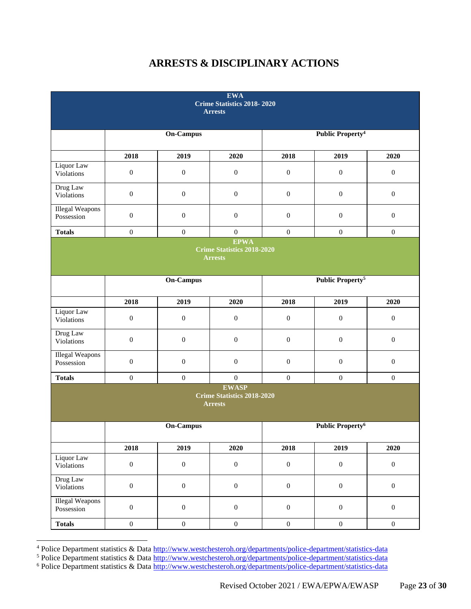## **ARRESTS & DISCIPLINARY ACTIONS**

| <b>EWA</b><br>Crime Statistics 2018-2020<br><b>Arrests</b> |                  |                  |                                                                     |                  |                                    |                  |
|------------------------------------------------------------|------------------|------------------|---------------------------------------------------------------------|------------------|------------------------------------|------------------|
|                                                            |                  | <b>On-Campus</b> |                                                                     |                  | <b>Public Property<sup>4</sup></b> |                  |
|                                                            | 2018             | 2019             | 2020                                                                | 2018             | 2019                               | 2020             |
| Liquor Law<br>Violations                                   | $\boldsymbol{0}$ | $\boldsymbol{0}$ | $\boldsymbol{0}$                                                    | $\boldsymbol{0}$ | $\boldsymbol{0}$                   | $\boldsymbol{0}$ |
| Drug Law<br>Violations                                     | $\boldsymbol{0}$ | $\boldsymbol{0}$ | $\boldsymbol{0}$                                                    | $\boldsymbol{0}$ | $\boldsymbol{0}$                   | $\boldsymbol{0}$ |
| <b>Illegal Weapons</b><br>Possession                       | $\boldsymbol{0}$ | $\boldsymbol{0}$ | $\mathbf{0}$                                                        | $\boldsymbol{0}$ | $\boldsymbol{0}$                   | $\boldsymbol{0}$ |
| <b>Totals</b>                                              | $\boldsymbol{0}$ | $\boldsymbol{0}$ | $\boldsymbol{0}$                                                    | $\boldsymbol{0}$ | $\boldsymbol{0}$                   | $\boldsymbol{0}$ |
|                                                            |                  |                  | <b>EPWA</b><br><b>Crime Statistics 2018-2020</b><br><b>Arrests</b>  |                  |                                    |                  |
|                                                            |                  | <b>On-Campus</b> |                                                                     |                  | <b>Public Property<sup>5</sup></b> |                  |
|                                                            | 2018             | 2019             | 2020                                                                | 2018             | 2019                               | 2020             |
| Liquor Law<br>Violations                                   | $\boldsymbol{0}$ | $\boldsymbol{0}$ | $\boldsymbol{0}$                                                    | $\boldsymbol{0}$ | $\boldsymbol{0}$                   | $\boldsymbol{0}$ |
| Drug Law<br>Violations                                     | $\boldsymbol{0}$ | $\boldsymbol{0}$ | $\boldsymbol{0}$                                                    | $\boldsymbol{0}$ | $\boldsymbol{0}$                   | $\boldsymbol{0}$ |
| <b>Illegal Weapons</b><br>Possession                       | $\boldsymbol{0}$ | $\boldsymbol{0}$ | $\boldsymbol{0}$                                                    | $\boldsymbol{0}$ | $\boldsymbol{0}$                   | $\boldsymbol{0}$ |
| <b>Totals</b>                                              | $\boldsymbol{0}$ | $\boldsymbol{0}$ | $\boldsymbol{0}$                                                    | $\boldsymbol{0}$ | $\boldsymbol{0}$                   | $\boldsymbol{0}$ |
|                                                            |                  |                  | <b>EWASP</b><br><b>Crime Statistics 2018-2020</b><br><b>Arrests</b> |                  |                                    |                  |
|                                                            |                  | <b>On-Campus</b> |                                                                     |                  | Public Property <sup>6</sup>       |                  |
|                                                            | 2018             | 2019             | 2020                                                                | 2018             | 2019                               | 2020             |
| Liquor Law<br>Violations                                   | $\boldsymbol{0}$ | $\boldsymbol{0}$ | $\boldsymbol{0}$                                                    | $\boldsymbol{0}$ | $\boldsymbol{0}$                   | $\boldsymbol{0}$ |
| Drug Law<br>Violations                                     | $\boldsymbol{0}$ | $\boldsymbol{0}$ | $\boldsymbol{0}$                                                    | $\boldsymbol{0}$ | $\boldsymbol{0}$                   | $\boldsymbol{0}$ |
| <b>Illegal Weapons</b><br>Possession                       | $\boldsymbol{0}$ | $\boldsymbol{0}$ | $\boldsymbol{0}$                                                    | $\boldsymbol{0}$ | $\boldsymbol{0}$                   | $\boldsymbol{0}$ |
| <b>Totals</b>                                              | $\boldsymbol{0}$ | $\boldsymbol{0}$ | $\boldsymbol{0}$                                                    | $\boldsymbol{0}$ | $\boldsymbol{0}$                   | $\boldsymbol{0}$ |

<sup>4</sup> Police Department statistics & Data<http://www.westchesteroh.org/departments/police-department/statistics-data>

<sup>&</sup>lt;sup>5</sup> Police Department statistics & Data<http://www.westchesteroh.org/departments/police-department/statistics-data> <sup>6</sup> Police Department statistics & Data<http://www.westchesteroh.org/departments/police-department/statistics-data>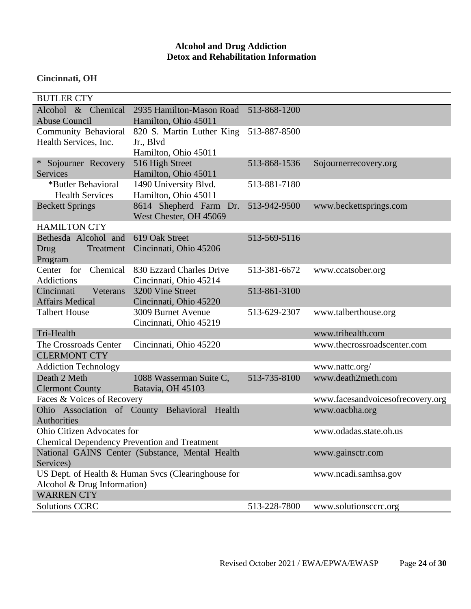## **Alcohol and Drug Addiction Detox and Rehabilitation Information**

## **Cincinnati, OH**

| <b>BUTLER CTY</b>                                    |                                                    |              |                                      |
|------------------------------------------------------|----------------------------------------------------|--------------|--------------------------------------|
| Alcohol & Chemical                                   | 2935 Hamilton-Mason Road                           | 513-868-1200 |                                      |
| <b>Abuse Council</b>                                 | Hamilton, Ohio 45011                               |              |                                      |
| <b>Community Behavioral</b>                          | 820 S. Martin Luther King                          | 513-887-8500 |                                      |
| Health Services, Inc.                                | Jr., Blvd                                          |              |                                      |
|                                                      | Hamilton, Ohio 45011                               |              |                                      |
| Sojourner Recovery                                   | 516 High Street                                    | 513-868-1536 | Sojournerrecovery.org                |
| <b>Services</b>                                      | Hamilton, Ohio 45011                               |              |                                      |
| *Butler Behavioral                                   | 1490 University Blvd.                              | 513-881-7180 |                                      |
| <b>Health Services</b>                               | Hamilton, Ohio 45011                               |              |                                      |
| <b>Beckett Springs</b>                               | 8614 Shepherd Farm Dr.                             | 513-942-9500 | www.beckettsprings.com               |
|                                                      | West Chester, OH 45069                             |              |                                      |
| <b>HAMILTON CTY</b>                                  |                                                    |              |                                      |
| Bethesda Alcohol and                                 | 619 Oak Street                                     | 513-569-5116 |                                      |
| Drug<br>Treatment                                    | Cincinnati, Ohio 45206                             |              |                                      |
| Program                                              |                                                    |              |                                      |
| Chemical<br>Center for                               | 830 Ezzard Charles Drive                           | 513-381-6672 | www.ccatsober.org                    |
| <b>Addictions</b>                                    | Cincinnati, Ohio 45214                             |              |                                      |
| Cincinnati<br>Veterans                               | 3200 Vine Street                                   | 513-861-3100 |                                      |
| <b>Affairs Medical</b>                               | Cincinnati, Ohio 45220                             |              |                                      |
| <b>Talbert House</b>                                 | 3009 Burnet Avenue                                 | 513-629-2307 | www.talberthouse.org                 |
| Tri-Health                                           | Cincinnati, Ohio 45219                             |              | www.trihealth.com                    |
| The Crossroads Center                                | Cincinnati, Ohio 45220                             |              | www.thecrossroadscenter.com          |
| <b>CLERMONT CTY</b>                                  |                                                    |              |                                      |
|                                                      |                                                    |              |                                      |
| <b>Addiction Technology</b><br>Death 2 Meth          |                                                    |              | www.nattc.org/<br>www.death2meth.com |
|                                                      | 1088 Wasserman Suite C,                            | 513-735-8100 |                                      |
| <b>Clermont County</b><br>Faces & Voices of Recovery | Batavia, OH 45103                                  |              |                                      |
|                                                      |                                                    |              | www.facesandvoicesofrecovery.org     |
| Ohio Association of County Behavioral<br>Authorities | Health                                             |              | www.oacbha.org                       |
| <b>Ohio Citizen Advocates for</b>                    |                                                    |              | www.odadas.state.oh.us               |
| <b>Chemical Dependency Prevention and Treatment</b>  |                                                    |              |                                      |
|                                                      | National GAINS Center (Substance, Mental Health    |              | www.gainsctr.com                     |
| Services)                                            |                                                    |              |                                      |
|                                                      | US Dept. of Health & Human Svcs (Clearinghouse for |              | www.ncadi.samhsa.gov                 |
| Alcohol & Drug Information)                          |                                                    |              |                                      |
| <b>WARREN CTY</b>                                    |                                                    |              |                                      |
| <b>Solutions CCRC</b>                                |                                                    | 513-228-7800 | www.solutionsccrc.org                |
|                                                      |                                                    |              |                                      |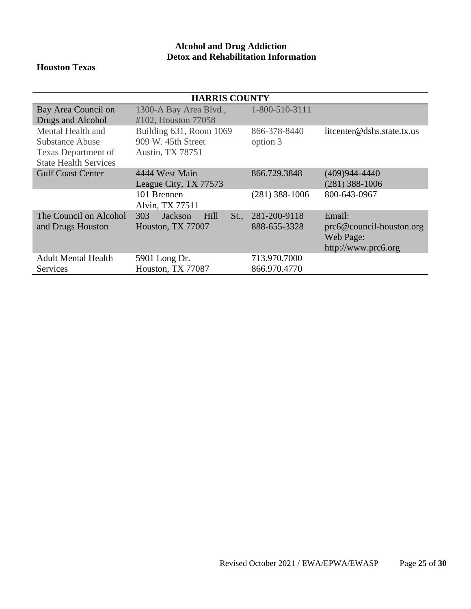## **Alcohol and Drug Addiction Detox and Rehabilitation Information**

## **Houston Texas**

| <b>HARRIS COUNTY</b>         |                                |                  |                                   |  |  |  |
|------------------------------|--------------------------------|------------------|-----------------------------------|--|--|--|
| Bay Area Council on          | 1300-A Bay Area Blvd.,         | 1-800-510-3111   |                                   |  |  |  |
| Drugs and Alcohol            | #102, Houston 77058            |                  |                                   |  |  |  |
| Mental Health and            | Building 631, Room 1069        | 866-378-8440     | litcenter@dshs.state.tx.us        |  |  |  |
| <b>Substance Abuse</b>       | 909 W. 45th Street             | option 3         |                                   |  |  |  |
| Texas Department of          | <b>Austin, TX 78751</b>        |                  |                                   |  |  |  |
| <b>State Health Services</b> |                                |                  |                                   |  |  |  |
| <b>Gulf Coast Center</b>     | 4444 West Main                 | 866.729.3848     | $(409)944 - 4440$                 |  |  |  |
|                              | League City, TX 77573          |                  | $(281)$ 388-1006                  |  |  |  |
|                              | 101 Brennen                    | $(281)$ 388-1006 | 800-643-0967                      |  |  |  |
|                              | Alvin, TX 77511                |                  |                                   |  |  |  |
| The Council on Alcohol       | 303<br>Jackson<br>Hill<br>St., | 281-200-9118     | Email:                            |  |  |  |
| and Drugs Houston            | Houston, TX 77007              | 888-655-3328     | $\text{prc6@countil-houston.org}$ |  |  |  |
|                              |                                |                  | Web Page:                         |  |  |  |
|                              |                                |                  | http://www.prc6.org               |  |  |  |
| <b>Adult Mental Health</b>   | 5901 Long Dr.                  | 713.970.7000     |                                   |  |  |  |
| Services                     | Houston, TX 77087              | 866.970.4770     |                                   |  |  |  |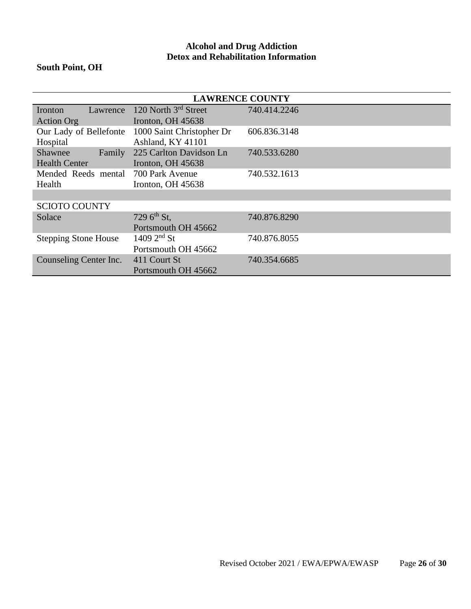## **Alcohol and Drug Addiction Detox and Rehabilitation Information**

## **South Point, OH**

| <b>LAWRENCE COUNTY</b>      |                           |              |
|-----------------------------|---------------------------|--------------|
| Lawrence<br>Ironton         | 120 North 3rd Street      | 740.414.2246 |
| <b>Action Org</b>           | Ironton, OH 45638         |              |
| Our Lady of Bellefonte      | 1000 Saint Christopher Dr | 606.836.3148 |
| Hospital                    | Ashland, KY 41101         |              |
| Shawnee<br>Family           | 225 Carlton Davidson Ln   | 740.533.6280 |
| <b>Health Center</b>        | Ironton, OH 45638         |              |
| Mended Reeds mental         | 700 Park Avenue           | 740.532.1613 |
| Health                      | Ironton, OH 45638         |              |
|                             |                           |              |
| <b>SCIOTO COUNTY</b>        |                           |              |
| Solace                      | 729 6 <sup>th</sup> St,   | 740.876.8290 |
|                             | Portsmouth OH 45662       |              |
| <b>Stepping Stone House</b> | $1409\ 2^{nd}\ St$        | 740.876.8055 |
|                             | Portsmouth OH 45662       |              |
| Counseling Center Inc.      | 411 Court St              | 740.354.6685 |
|                             | Portsmouth OH 45662       |              |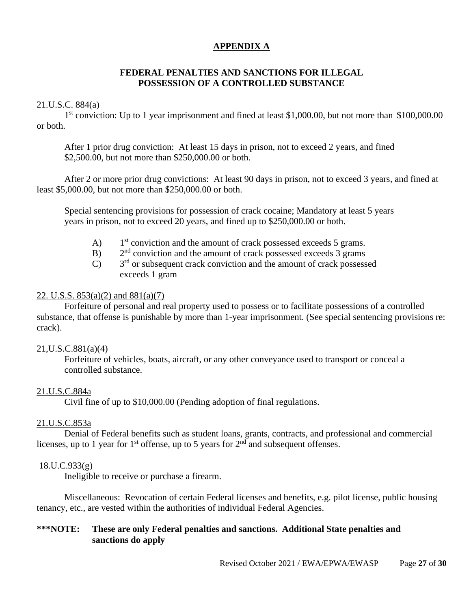## **APPENDIX A**

## **FEDERAL PENALTIES AND SANCTIONS FOR ILLEGAL POSSESSION OF A CONTROLLED SUBSTANCE**

## 21.U.S.C. 884(a)

1<sup>st</sup> conviction: Up to 1 year imprisonment and fined at least \$1,000.00, but not more than \$100,000.00 or both.

After 1 prior drug conviction: At least 15 days in prison, not to exceed 2 years, and fined \$2,500.00, but not more than \$250,000.00 or both.

After 2 or more prior drug convictions: At least 90 days in prison, not to exceed 3 years, and fined at least \$5,000.00, but not more than \$250,000.00 or both.

Special sentencing provisions for possession of crack cocaine; Mandatory at least 5 years years in prison, not to exceed 20 years, and fined up to \$250,000.00 or both.

- $\bf{A}$ )  $1<sup>st</sup>$  conviction and the amount of crack possessed exceeds 5 grams.
- $B)$  $2<sup>nd</sup>$  conviction and the amount of crack possessed exceeds 3 grams
- $\overline{C}$  $3<sup>rd</sup>$  or subsequent crack conviction and the amount of crack possessed exceeds 1 gram

## 22. U.S.S.  $853(a)(2)$  and  $881(a)(7)$

Forfeiture of personal and real property used to possess or to facilitate possessions of a controlled substance, that offense is punishable by more than 1-year imprisonment. (See special sentencing provisions re: crack).

## 21,U.S.C.881(a)(4)

Forfeiture of vehicles, boats, aircraft, or any other conveyance used to transport or conceal a controlled substance.

## 21.U.S.C.884a

Civil fine of up to \$10,000.00 (Pending adoption of final regulations.

## 21.U.S.C.853a

Denial of Federal benefits such as student loans, grants, contracts, and professional and commercial licenses, up to 1 year for 1<sup>st</sup> offense, up to 5 years for  $2<sup>nd</sup>$  and subsequent offenses.

## 18.U.C.933(g)

Ineligible to receive or purchase a firearm.

Miscellaneous: Revocation of certain Federal licenses and benefits, e.g. pilot license, public housing tenancy, etc., are vested within the authorities of individual Federal Agencies.

## **\*\*\*NOTE: These are only Federal penalties and sanctions. Additional State penalties and sanctions do apply**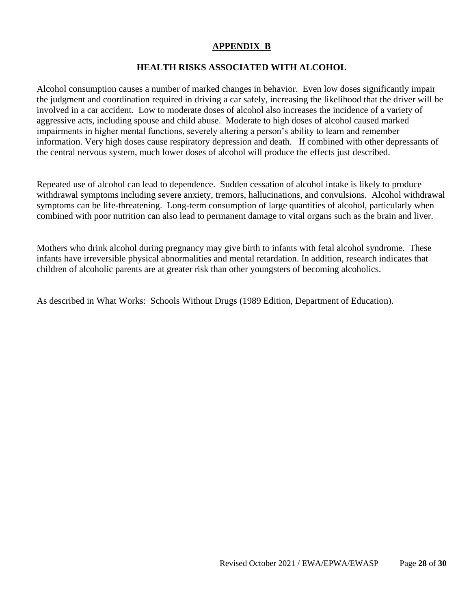## **APPENDIX B**

## **HEALTH RISKS ASSOCIATED WITH ALCOHOL**

Alcohol consumption causes a number of marked changes in behavior. Even low doses significantly impair the judgment and coordination required in driving a car safely, increasing the likelihood that the driver will be involved in a car accident. Low to moderate doses of alcohol also increases the incidence of a variety of aggressive acts, including spouse and child abuse. Moderate to high doses of alcohol caused marked impairments in higher mental functions, severely altering a person's ability to learn and remember information. Very high doses cause respiratory depression and death. If combined with other depressants of the central nervous system, much lower doses of alcohol will produce the effects just described.

Repeated use of alcohol can lead to dependence. Sudden cessation of alcohol intake is likely to produce withdrawal symptoms including severe anxiety, tremors, hallucinations, and convulsions. Alcohol withdrawal symptoms can be life-threatening. Long-term consumption of large quantities of alcohol, particularly when combined with poor nutrition can also lead to permanent damage to vital organs such as the brain and liver.

Mothers who drink alcohol during pregnancy may give birth to infants with fetal alcohol syndrome. These infants have irreversible physical abnormalities and mental retardation. In addition, research indicates that children of alcoholic parents are at greater risk than other youngsters of becoming alcoholics.

As described in What Works: Schools Without Drugs (1989 Edition, Department of Education).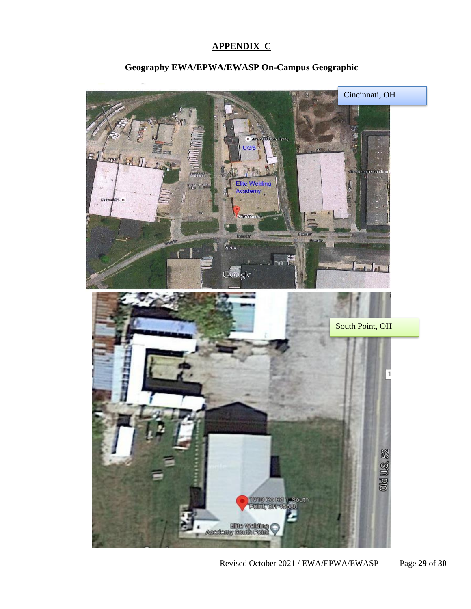## **APPENDIX C**



## **Geography EWA/EPWA/EWASP On-Campus Geographic**